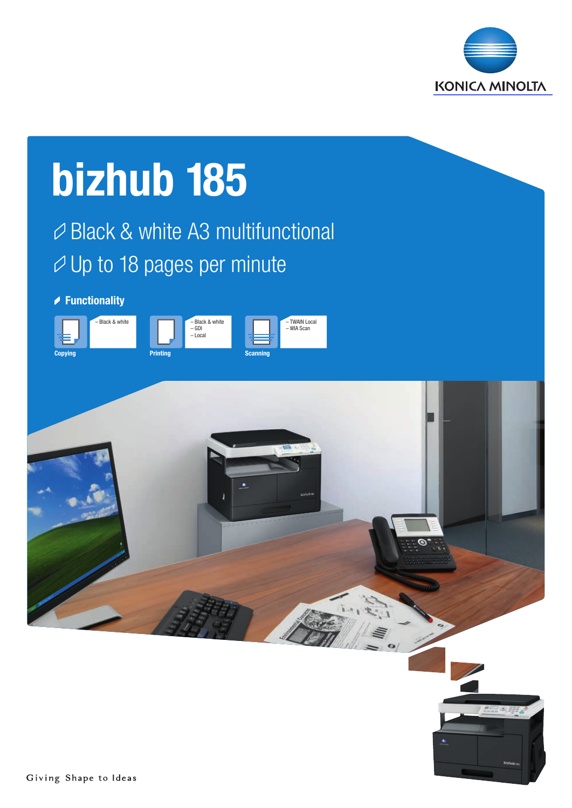

# Black & white A3 multifunctional  $\varnothing$  Up to 18 pages per minute bizhub 185 **► Functionality** Printing – Black & white – GDI – Local **Scanning** – TWAIN Local – WIA Scan – Black & white **Copying**